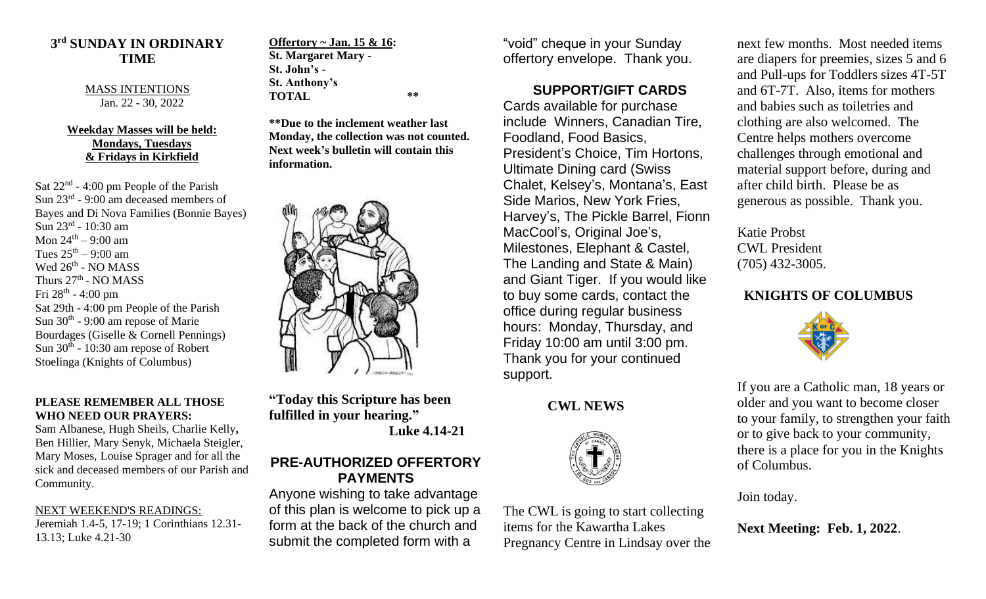### **3 rd SUNDAY IN ORDINARY TIME**

#### MASS INTENTIONS Jan. 22 - 30, 2022

#### **Weekday Masses will be held: Mondays, Tuesdays & Fridays in Kirkfield**

Sat  $22<sup>nd</sup> - 4:00$  pm People of the Parish Sun 23rd - 9:00 am deceased members of Bayes and Di Nova Families (Bonnie Bayes) Sun 23<sup>rd</sup> - 10:30 am Mon  $24^{\text{th}} - 9:00$  am Tues  $25^{\text{th}} - 9:00$  am Wed 26<sup>th</sup> - NO MASS Thurs 27<sup>th</sup> - NO MASS Fri 28<sup>th</sup> - 4:00 pm Sat 29th - 4:00 pm People of the Parish Sun  $30<sup>th</sup>$  - 9:00 am repose of Marie Bourdages (Giselle & Cornell Pennings) Sun  $30<sup>th</sup>$  - 10:30 am repose of Robert Stoelinga (Knights of Columbus)

#### **PLEASE REMEMBER ALL THOSE WHO NEED OUR PRAYERS:**

Sam Albanese, Hugh Sheils, Charlie Kelly**,**  Ben Hillier, Mary Senyk, Michaela Steigler, Mary Moses, Louise Sprager and for all the sick and deceased members of our Parish and Community.

NEXT WEEKEND'S READINGS: Jeremiah 1.4-5, 17-19; 1 Corinthians 12.31- 13.13; Luke 4.21-30

**Offertory ~ Jan. 15 & 16: St. Margaret Mary - St. John's - St. Anthony's TOTAL \*\***

**\*\*Due to the inclement weather last Monday, the collection was not counted. Next week's bulletin will contain this information.**



**"Today this Scripture has been fulfilled in your hearing." Luke 4.14-21**

### **PRE-AUTHORIZED OFFERTORY PAYMENTS**

Anyone wishing to take advantage of this plan is welcome to pick up a form at the back of the church and submit the completed form with a

"void" cheque in your Sunday offertory envelope. Thank you.

# **SUPPORT/GIFT CARDS**

Cards available for purchase include Winners, Canadian Tire, Foodland, Food Basics, President's Choice, Tim Hortons, Ultimate Dining card (Swiss Chalet, Kelsey's, Montana's, East Side Marios, New York Fries, Harvey's, The Pickle Barrel, Fionn MacCool's, Original Joe's, Milestones, Elephant & Castel, The Landing and State & Main) and Giant Tiger. If you would like to buy some cards, contact the office during regular business hours: Monday, Thursday, and Friday 10:00 am until 3:00 pm. Thank you for your continued support.

## **CWL NEWS**



The CWL is going to start collecting items for the Kawartha Lakes Pregnancy Centre in Lindsay over the next few months. Most needed items are diapers for preemies, sizes 5 and 6 and Pull-ups for Toddlers sizes 4T-5T and 6T-7T. Also, items for mothers and babies such as toiletries and clothing are also welcomed. The Centre helps mothers overcome challenges through emotional and material support before, during and after child birth. Please be as generous as possible. Thank you.

Katie Probst CWL President (705) 432-3005.

# **KNIGHTS OF COLUMBUS**



If you are a Catholic man, 18 years or older and you want to become closer to your family, to strengthen your faith or to give back to your community, there is a place for you in the Knights of Columbus.

Join today.

**Next Meeting: Feb. 1, 2022**.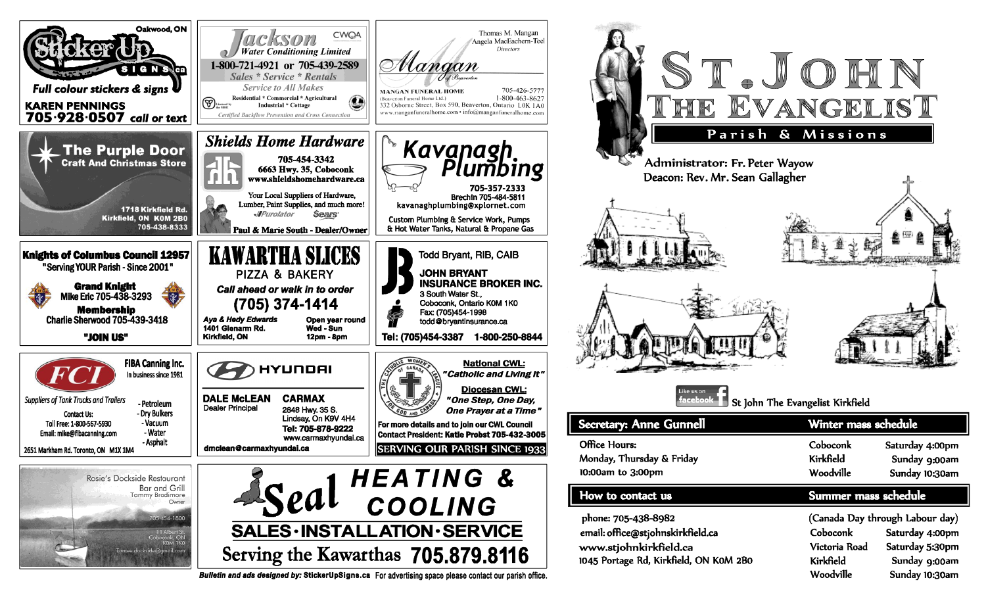

Bulletin and ads designed by: StickerUpSigns.ca For advertising space please contact our parish office